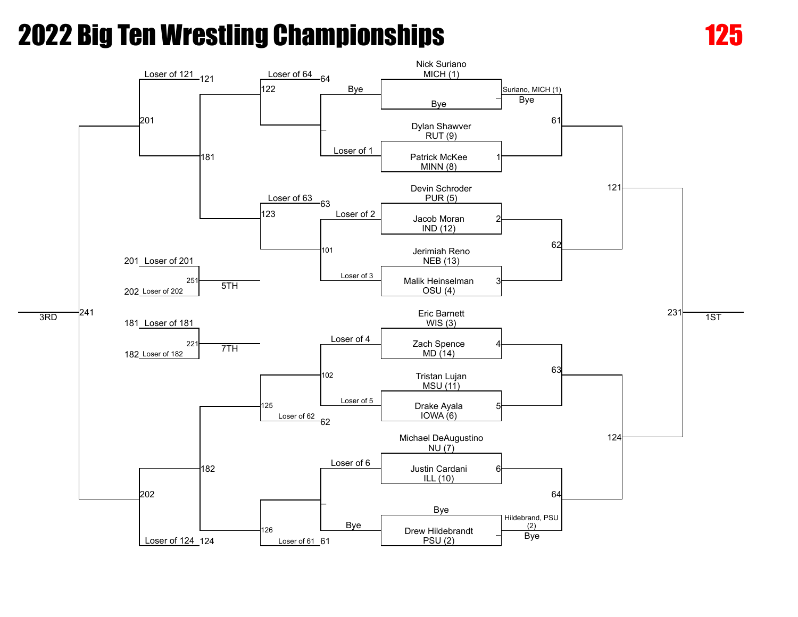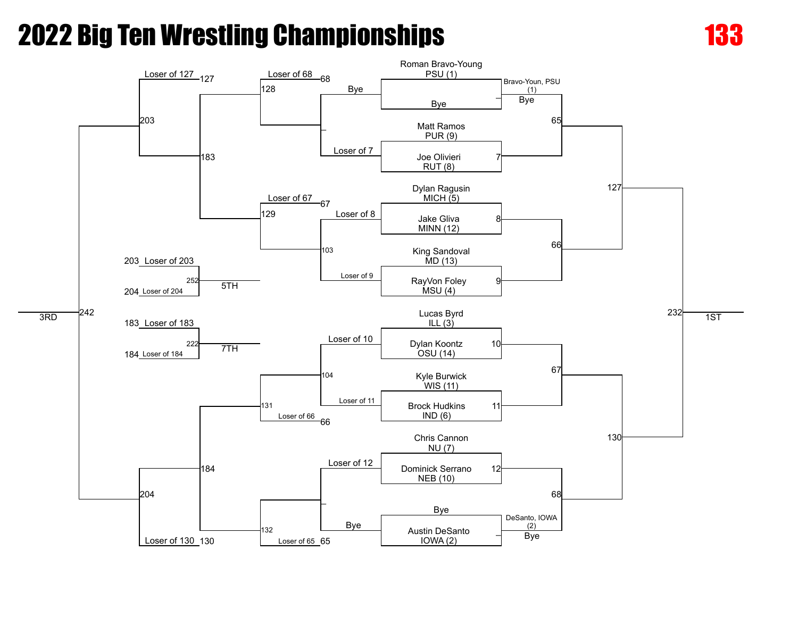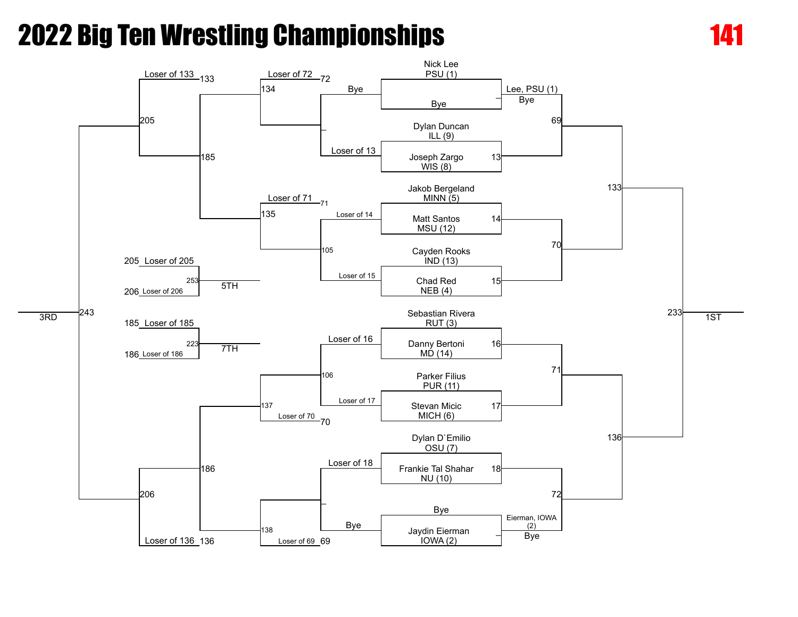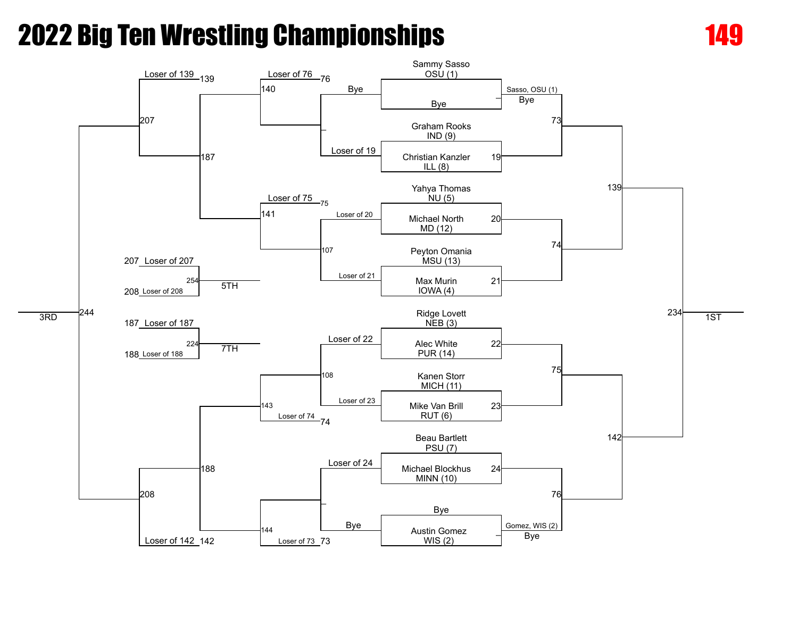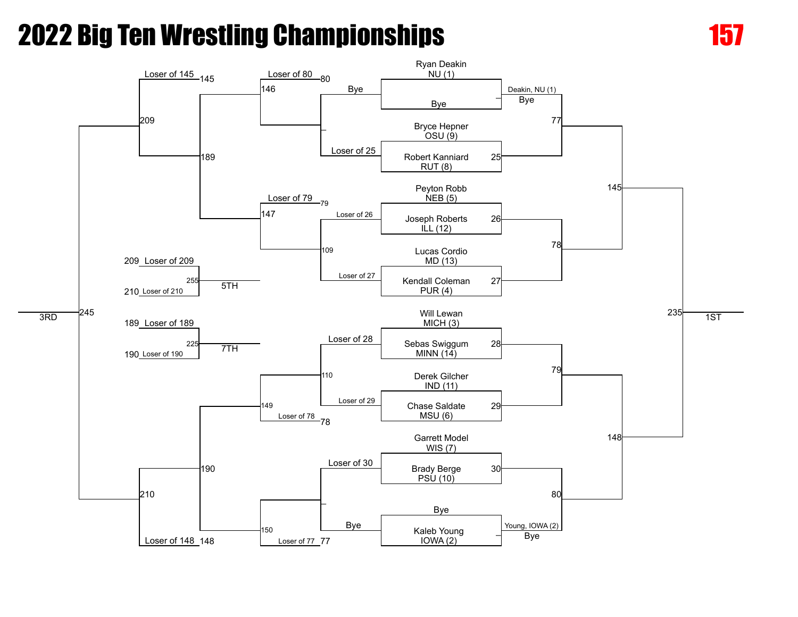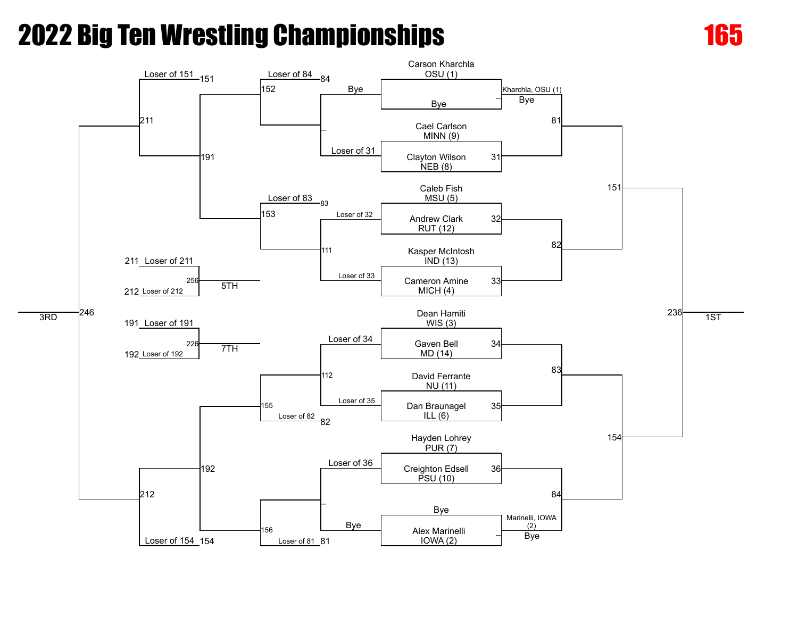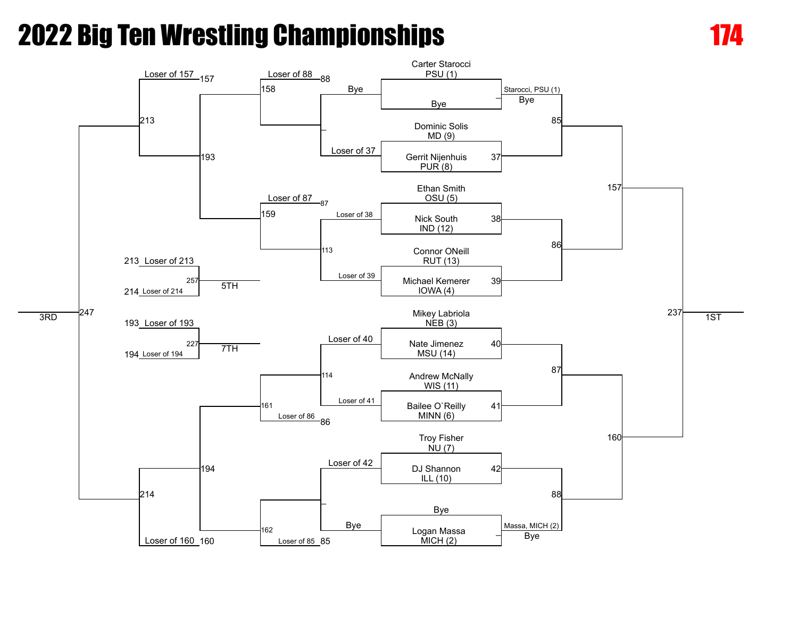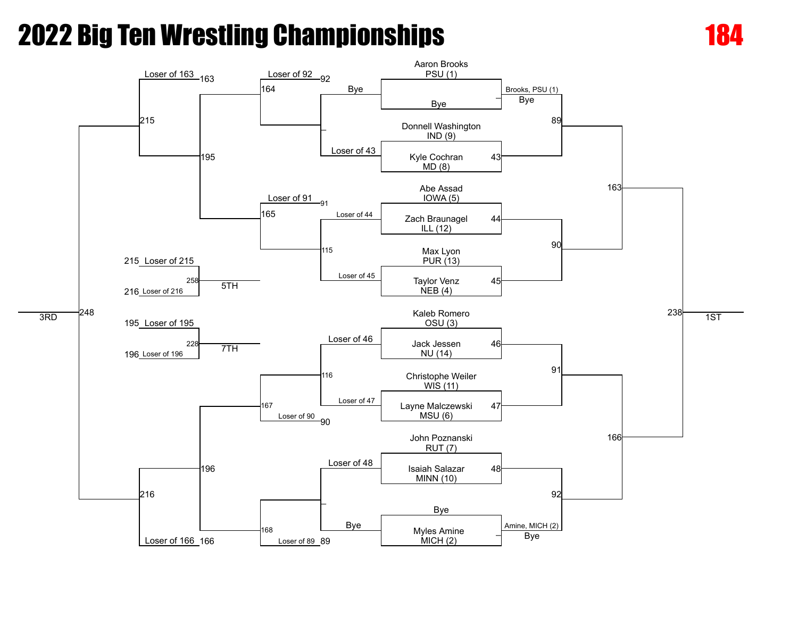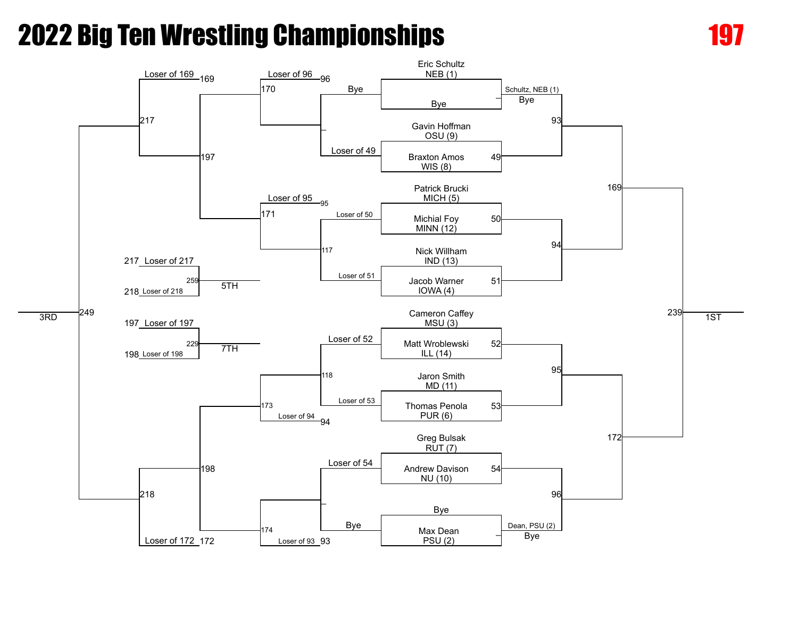